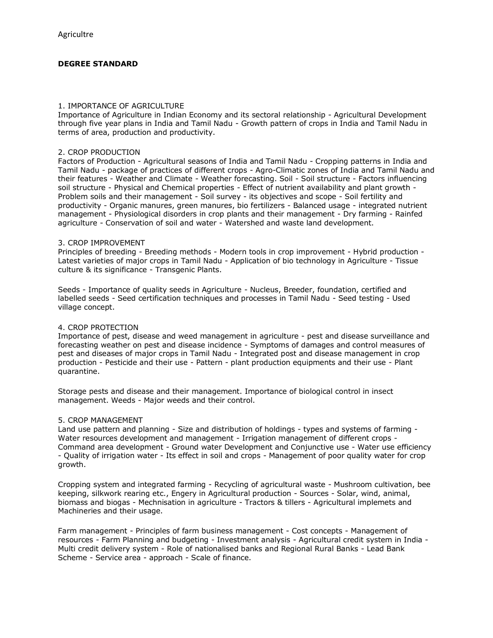# **DEGREE STANDARD**

#### 1. IMPORTANCE OF AGRICULTURE

Importance of Agriculture in Indian Economy and its sectoral relationship - Agricultural Development through five year plans in India and Tamil Nadu - Growth pattern of crops in India and Tamil Nadu in terms of area, production and productivity.

### 2. CROP PRODUCTION

Factors of Production - Agricultural seasons of India and Tamil Nadu - Cropping patterns in India and Tamil Nadu - package of practices of different crops - Agro-Climatic zones of India and Tamil Nadu and their features - Weather and Climate - Weather forecasting. Soil - Soil structure - Factors influencing soil structure - Physical and Chemical properties - Effect of nutrient availability and plant growth - Problem soils and their management - Soil survey - its objectives and scope - Soil fertility and productivity - Organic manures, green manures, bio fertilizers - Balanced usage - integrated nutrient management - Physiological disorders in crop plants and their management - Dry farming - Rainfed agriculture - Conservation of soil and water - Watershed and waste land development.

#### 3. CROP IMPROVEMENT

Principles of breeding - Breeding methods - Modern tools in crop improvement - Hybrid production - Latest varieties of major crops in Tamil Nadu - Application of bio technology in Agriculture - Tissue culture & its significance - Transgenic Plants.

Seeds - Importance of quality seeds in Agriculture - Nucleus, Breeder, foundation, certified and labelled seeds - Seed certification techniques and processes in Tamil Nadu - Seed testing - Used village concept.

## 4. CROP PROTECTION

Importance of pest, disease and weed management in agriculture - pest and disease surveillance and forecasting weather on pest and disease incidence - Symptoms of damages and control measures of pest and diseases of major crops in Tamil Nadu - Integrated post and disease management in crop production - Pesticide and their use - Pattern - plant production equipments and their use - Plant quarantine.

Storage pests and disease and their management. Importance of biological control in insect management. Weeds - Major weeds and their control.

## 5. CROP MANAGEMENT

Land use pattern and planning - Size and distribution of holdings - types and systems of farming - Water resources development and management - Irrigation management of different crops - Command area development - Ground water Development and Conjunctive use - Water use efficiency - Quality of irrigation water - Its effect in soil and crops - Management of poor quality water for crop growth.

Cropping system and integrated farming - Recycling of agricultural waste - Mushroom cultivation, bee keeping, silkwork rearing etc., Engery in Agricultural production - Sources - Solar, wind, animal, biomass and biogas - Mechnisation in agriculture - Tractors & tillers - Agricultural implemets and Machineries and their usage.

Farm management - Principles of farm business management - Cost concepts - Management of resources - Farm Planning and budgeting - Investment analysis - Agricultural credit system in India - Multi credit delivery system - Role of nationalised banks and Regional Rural Banks - Lead Bank Scheme - Service area - approach - Scale of finance.